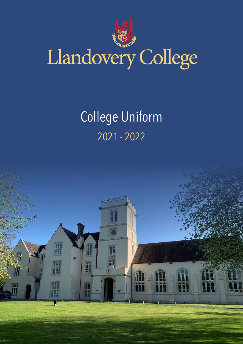

# Llandovery College

## College Uniform 2021 - 2022

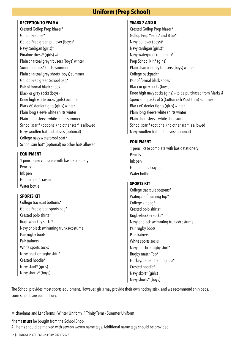#### **Uniform (Prep School)**

#### **RECEPTION TO YEAR 6**

Crested Gollop Prep blazer\* Gollop Prep tie\* Gollop Prep green pullover (boys)\* Navy cardigan (girls)\* Pinafore dress\* (girls) winter Plain charcoal grey trousers (boys) winter Summer dress\* (girls) summer Plain charcoal grey shorts (boys) summer Gollop Prep green School bag\* Pair of formal black shoes Black or grey socks (boys) Knee high white socks (girls) summer Black 60 denier tights (girls) winter Plain long sleeve white shirts winter Plain short sleeve white shirts summer School scarf\* (optional) no other scarf is allowed Navy woollen hat and gloves (optional) College navy waterproof coat\* School sun hat\* (optional) no other hats allowed

#### **EQUIPMENT**

1 pencil case complete with basic stationery Pencils Ink pen Felt tip pen / crayons Water bottle

#### **SPORTS KIT**

College tracksuit bottoms\* Gollop Prep green sports bag\* Crested polo shirts\* Rugby/hockey socks\* Navy or black swimming trunks/costume Pair rugby boots Pair trainers White sports socks Navy practice rugby shirt\* Crested hoodie\* Navy skort\* (girls) Navy shorts\* (boys)

#### **YEARS 7 AND 8**

Crested Gollop Prep blazer\* Gollop Prep Years 7 and 8 tie\* Navy pullover (boys)\* Navy cardigan (girls)\* Navy waterproof (optional)\* Prep School Kilt\* (girls) Plain charcoal grey trousers (boys) winter College backpack\* Pair of formal black shoes Black or grey socks (boys) Knee high navy socks (girls) – to be purchased from Marks & Spencer in packs of 5 (Cotton rich Picot Trim) summer Black 60 denier tights (girls) winter Plain long sleeve white shirts winter Plain short sleeve white shirt summer School scarf\* (optional) no other scarf is allowed Navy woollen hat and gloves (optional)

#### **EQUIPMENT**

1 pencil case complete with basic stationery Pencils Ink pen Felt tip pen / crayons Water bottle

#### **SPORTS KIT**

College tracksuit bottoms\* Waterproof Training Top\* College kit bag\* Crested polo shirts\* Rugby/hockey socks\* Navy or black swimming trunks/costume Pair rugby boots Pair trainers White sports socks Navy practice rugby shirt\* Rugby match Top\* Hockey/netball training top\* Crested hoodie\* Navy skort\* (girls) Navy shorts\* (boys)

The School provides most sports equipment. However, girls may provide their own hockey stick, and we recommend shin pads. Gum shields are compulsory.

Michaelmas and Lent Terms - Winter Uniform / Trinity Term - Summer Uniform

\*Items **must** be bought from the School Shop. All Items should be marked with sew-on woven name tags. Additional name tags should be provided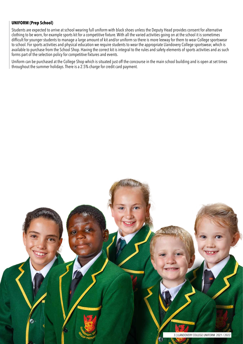#### **UNIFORM (Prep School)**

Students are expected to arrive at school wearing full uniform with black shoes unless the Deputy Head provides consent for alternative clothing to be worn, for example sports kit for a competitive fixture. With all the varied activities going on at the school it is sometimes difficult for younger students to manage a large amount of kit and/or uniform so there is more leeway for them to wear College sportswear to school. For sports activities and physical education we require students to wear the appropriate Llandovery College sportswear, which is available to purchase from the School Shop. Having the correct kit is integral to the rules and safety elements of sports activities and as such forms part of the selection policy for competitive fixtures and events.

Uniform can be purchased at the College Shop which is situated just off the concourse in the main school building and is open at set times throughout the summer holidays. There is a 2.5% charge for credit card payment.

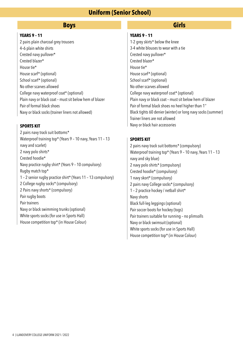### **Uniform (Senior School)**

#### **Boys Girls**

#### **YEARS 9 – 11**

2 pairs plain charcoal grey trousers 4–6 plain white shirts Crested navy pullover\* Crested blazer\* House tie\* House scarf\* (optional) School scarf\* (optional) No other scarves allowed College navy waterproof coat\* (optional) Plain navy or black coat – must sit below hem of blazer Pair of formal black shoes Navy or black socks (trainer liners not allowed)

2 pairs navy track suit bottoms\* Waterproof training top\* (Years 9 – 10 navy, Years 11 – 13 navy and scarlet) 2 navy polo shirts\* Crested hoodie\* Navy practice rugby shirt\* (Years 9 – 10 compulsory) Rugby match top\* 1 – 2 senior rugby practice shirt\* (Years 11 – 13 compulsory) 2 College rugby socks\* (compulsory) 2 Pairs navy shorts\* (compulsory) Pair rugby boots Pair trainers Navy or black swimming trunks (optional) White sports socks (for use in Sports Hall) House competition top\* (in House Colour)

#### **YEARS 9 – 11**

1-2 grey skirts\* below the knee 3-4 white blouses to wear with a tie Crested navy pullover\* Crested blazer\* House tie\* House scarf\* (optional) School scarf\* (optional) No other scarves allowed College navy waterproof coat\* (optional) Plain navy or black coat – must sit below hem of blazer Pair of formal black shoes no heel higher than 1'' Black tights 60 denier (winter) or long navy socks (summer) Trainer liners are not allowed **SPORTS KIT** Navy or black hair accessories

#### **SPORTS KIT**

2 pairs navy track suit bottoms\* (compulsory) Waterproof training top\* (Years 9 – 10 navy, Years 11 – 13 navy and sky blue) 2 navy polo shirts\* (compulsory) Crested hoodie\* (compulsory) 1 navy skort\* (compulsory) 2 pairs navy College socks\* (compulsory) 1 – 2 practice hockey / netball shirt\* Navy shorts Black full-leg leggings (optional) Pair soccer boots for hockey (togs) Pair trainers suitable for running – no plimsolls Navy or black swimsuit (optional) White sports socks (for use in Sports Hall) House competition top\* (in House Colour)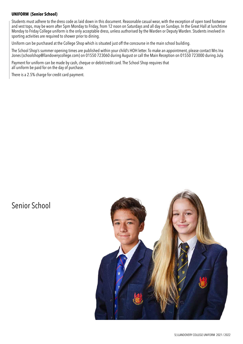#### **UNIFORM (Senior School)**

Students must adhere to the dress code as laid down in this document. Reasonable casual wear, with the exception of open toed footwear and vest tops, may be worn after 5pm Monday to Friday, from 12 noon on Saturdays and all day on Sundays. In the Great Hall at lunchtime Monday to Friday College uniform is the only acceptable dress, unless authorised by the Warden or Deputy Warden. Students involved in sporting activities are required to shower prior to dining.

Uniform can be purchased at the College Shop which is situated just off the concourse in the main school building.

The School Shop's summer opening times are published within your child's HOH letter. To make an appointment, please contact Mrs Ina Jones (schoolshop@llandoverycollege.com) on 01550 723060 during August or call the Main Reception on 01550 723000 during July.

Payment for uniform can be made by cash, cheque or debit/credit card. The School Shop requires that all uniform be paid for on the day of purchase.

There is a 2.5% charge for credit card payment.

## Senior School

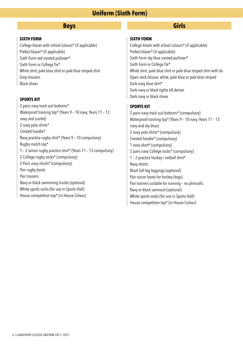### **Uniform (Sixth Form)**

#### **Boys Girls**

#### **SIXTH FORM**

College blazer with school colours\* (if applicable) Prefect blazer\* (if applicable) Sixth Form red crested pullover\* Sixth Form or College Tie\* White shirt, pale blue shirt or pale blue striped shirt Grey trousers Black shoes

2 pairs navy track suit bottoms\* Waterproof training top\* (Years 9 – 10 navy, Years 11 – 13 navy and scarlet) 2 navy polo shirts\* Crested hoodie\* Navy practice rugby shirt\* (Years 9 – 10 compulsory) Rugby match top\* 1 – 2 senior rugby practice shirt\* (Years 11 – 13 compulsory) 2 College rugby socks\* (compulsory) 2 Pairs navy shorts\* (compulsory) Pair rugby boots Pair trainers Navy or black swimming trunks (optional) White sports socks (for use in Sports Hall) House competition top\* (in House Colour)

#### **SIXTH FORM**

College blazer with school colours\* (if applicable) Prefect blazer\* (if applicable) Sixth Form sky blue crested pullover\* Sixth Form or College Tie\* White shirt, pale blue shirt or pale blue striped shirt with tie Open neck blouse, white, pale blue or pale blue striped Dark navy blue skirt\* Dark navy or black tights 60 denier **SPORTS KIT SPORTS KIT SPORTS KIT SPORTS ASSESS** 

#### **SPORTS KIT**

2 pairs navy track suit bottoms\* (compulsory) Waterproof training top\* (Years 9 – 10 navy, Years 11 – 13 navy and sky blue) 2 navy polo shirts\* (compulsory) Crested hoodie\* (compulsory) 1 navy skort\* (compulsory) 2 pairs navy College socks\* (compulsory) 1 – 2 practice hockey / netball shirt\* Navy shorts Black full-leg leggings (optional) Pair soccer boots for hockey (togs) Pair trainers suitable for running – no plimsolls Navy or black swimsuit (optional) White sports socks (for use in Sports Hall) House competition top\* (in House Colour)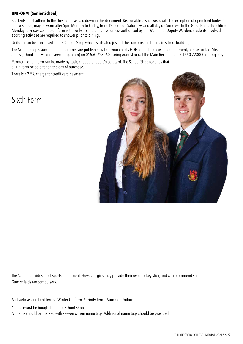#### **UNIFORM (Senior School)**

Students must adhere to the dress code as laid down in this document. Reasonable casual wear, with the exception of open toed footwear and vest tops, may be worn after 5pm Monday to Friday, from 12 noon on Saturdays and all day on Sundays. In the Great Hall at lunchtime Monday to Friday College uniform is the only acceptable dress, unless authorised by the Warden or Deputy Warden. Students involved in sporting activities are required to shower prior to dining.

Uniform can be purchased at the College Shop which is situated just off the concourse in the main school building.

The School Shop's summer opening times are published within your child's HOH letter. To make an appointment, please contact Mrs Ina Jones (schoolshop@llandoverycollege.com) on 01550 723060 during August or call the Main Reception on 01550 723000 during July.

Payment for uniform can be made by cash, cheque or debit/credit card. The School Shop requires that all uniform be paid for on the day of purchase.

There is a 2.5% charge for credit card payment.

### Sixth Form



The School provides most sports equipment. However, girls may provide their own hockey stick, and we recommend shin pads. Gum shields are compulsory.

Michaelmas and Lent Terms - Winter Uniform / Trinity Term - Summer Uniform

\*Items **must** be bought from the School Shop.

All Items should be marked with sew-on woven name tags. Additional name tags should be provided